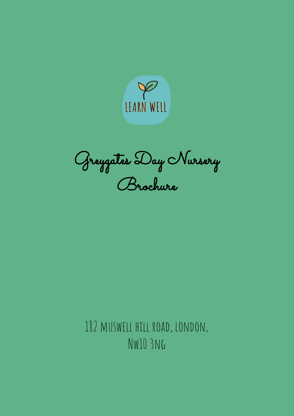

Greygates Day Nursery Brochure

182 muswell hill road, london, Nw10 3ng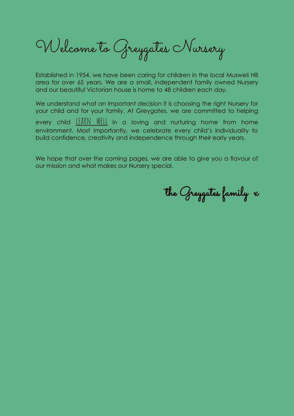Welcome to Greygates Nursery

Established in 1954, we have been caring for children in the local Muswell Hill area for over 65 years. We are a small, independent family owned Nursery and our beautiful Victorian house is home to 48 children each day.

We understand what an important decision it is choosing the right Nursery for your child and for your family. At Greygates, we are committed to helping

every child  $\underline{\text{IfARN}}$  WELL in a loving and nurturing home from home environment. Most importantly, we celebrate every child's individuality to build confidence, creativity and independence through their early years.

We hope that over the coming pages, we are able to give you a flavour of our mission and what makes our Nursery special.

the Greygates family x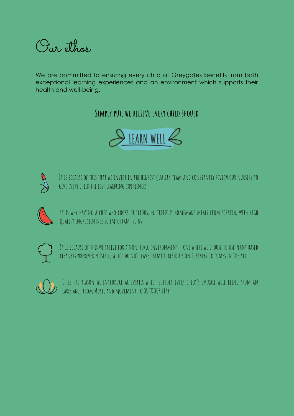Our ethos

We are committed to ensuring every child at Greygates benefits from both exceptional learning experiences and an environment which supports their health and well-being.

### **Simply put, we believe every child should**





It is because of this that we invest in the highest quality team and constantly review our nursery to give every child the best learning experiences



It is why having a chef who cooks delicious, nutritious homemade meals from scratch, with high quality ingredients is so important to us



It is because of this we strive for a non-toxic environment – one where we choose to use plant based cleaners wherever possible, which do not leave harmful residues on surfaces or fumes in the air.



It is the reason we introduce activities which support every child's overall well-being from an early age…from Music and movement to OUTDOOR PLAY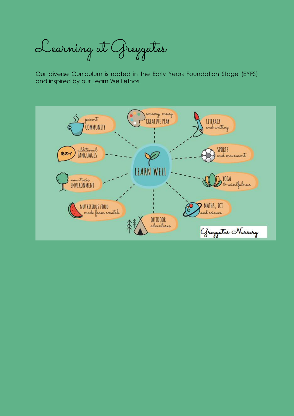Learning at Greygates

Our diverse Curriculum is rooted in the Early Years Foundation Stage (EYFS) and inspired by our Learn Well ethos.

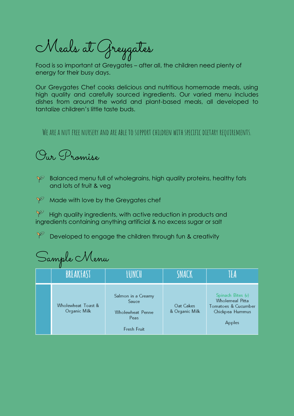Meals at Greygates

Food is so important at Greygates – after all, the children need plenty of energy for their busy days.

Our Greygates Chef cooks delicious and nutritious homemade meals, using high quality and carefully sourced ingredients. Our varied menu includes dishes from around the world and plant-based meals, all developed to tantalize children's little taste buds.

We are a nut free nursery and are able to support children with specific dietary requirements.

Our Promise

 $\mathscr P$  Balanced menu full of wholegrains, high quality proteins, healthy fats and lots of fruit & veg

 $\mathcal V$  Made with love by the Greygates chef

 $\mathscr V$  High quality ingredients, with active reduction in products and ingredients containing anything artificial & no excess sugar or salt

 $\varphi$ Developed to engage the children through fun & creativity

| Sample Menu |                                    |                                                                        |                             |                                                                                          |  |  |  |  |
|-------------|------------------------------------|------------------------------------------------------------------------|-----------------------------|------------------------------------------------------------------------------------------|--|--|--|--|
|             | BREAKFAST                          | I LINE H                                                               | SNACK                       |                                                                                          |  |  |  |  |
|             | Wholewheat Toast &<br>Organic Milk | Salmon in a Creamy<br>Sauce<br>Wholewheat Penne<br>Peas<br>Fresh Fruit | Oat Cakes<br>& Organic Milk | Spinach Bites (v)<br>Wholemeal Pitta<br>Tomatoes & Cucumber<br>Chickpea Hummus<br>Apples |  |  |  |  |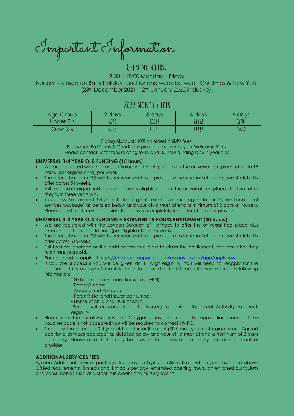Important Information

### **Opening hours:**

8.00 – 18:00 Monday – Friday Nursery is closed on Bank Holidays and for one week between Christmas & New Year (23 rd December 2021 – 2 nd January 2022 inclusive).

### **2022 Monthly Fees**

| Age Group | 2 days | 3 days | 4 davs | 5 days |
|-----------|--------|--------|--------|--------|
| Under 2's | £743   | f1089  | £1452  | £1709  |
| Over 2's  | £705   | £1041  | £1387  | £1632  |

Sibling discount: 10% on eldest child's fees.

Please see Full Terms & Conditions provided as part of your Welcome Pack Please contact us for fees relating to 15 and 30 hour funding for 3-4 year olds

### **UNIVERSAL 3-4 YEAR OLD FUNDING (15 hours)**

- We are registered with the London Borough of Haringey to offer the universal free place of up to 15 hours (per eligible child) per week
- The offer is based on 38 weeks per year, and as a provider of year round childcare, we stretch this offer across 51 weeks.
- Full fees are charged until a child becomes eligible to claim the universal free place, the term after they turn three years old.
- To access the universal 3-4 year old funding entitlement, you must agree to our 'Agreed additional services package' as detailed below and your child must attend a minimum of 2 days at Nursery. Please note that it may be possible to access a completely free offer at another provider.

### **UNIVERSAL 3-4 YEAR OLD FUNDING + EXTENDED 15 HOURS ENTITLEMENT (30 hours)**

- We are registered with the London Borough of Haringey to offer the universal free place plus extended 15 hours entitlement (per eligible child) per week
- The offer is based on 38 weeks per year, and as a provider of year round childcare, we stretch this offer across 51 weeks.
- Full fees are charged until a child becomes eligible to claim the entitlement, the term after they turn three years old.
- Parents need to apply at<https://childcaresupport.tax.service.gov.uk/par/app/applynow>
- If you are successful you will be given an 11 digit eligibility. You will need to reapply for the additional 15 hours every 3 months. For us to administer the 30 hour offer we require the following information:
	- 30 hour eligibility code (known as DERN)
	- Parent/s name
	- Address and Postcode
	- Parent's National Insurance Number
	- Name of child and DOB of child
	- -Parents written consent for the Nursery to contact the Local Authority to check eligibility
- Please note the Local Authority and Greygates have no role in the application process; if the voucher code is not accepted you will be required to contact HMRC.
- To access the extended 3-4 year old funding entitlement (30 hours), you must agree to our 'Agreed additional services package' as detailed below and your child must attend a minimum of 3 days at Nursery. Please note that it may be possible to access a completely free offer at another provider.

### **ADDITIONAL SERVICES FEES**

Agreed Additional services package: Includes our highly qualified team which goes over and above Ofsted requirements, 3 meals and 1 snacks per day, extended opening hours, an enriched curriculum and consumables such as Calpol, sun cream and Nursery events.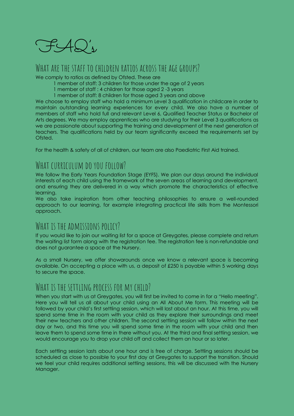

### WHAT ARF THE STAFF TO CHILDREN RATIOS ACROSS THE AGE GROUPS?

We comply to ratios as defined by Ofsted. These are

- 1 member of staff: 3 children for those under the age of 2 years
- 1 member of staff : 4 children for those aged 2 -3 years
- 1 member of staff: 8 children for those aged 3 years and above

We choose to employ staff who hold a minimum Level 3 qualification in childcare in order to maintain outstanding learning experiences for every child. We also have a number of members of staff who hold full and relevant Level 6, Qualified Teacher Status or Bachelor of Arts degrees. We may employ apprentices who are studying for their Level 3 qualifications as we are passionate about supporting the training and development of the next generation of teachers. The qualifications held by our team significantly exceed the requirements set by Ofsted.

For the health & safety of all of children, our team are also Paediatric First Aid trained.

## WHAT CURRICULUM DO YOU FOLLOW?

We follow the Early Years Foundation Stage (EYFS). We plan our days around the individual interests of each child using the framework of the seven areas of learning and development, and ensuring they are delivered in a way which promote the characteristics of effective learning.

We also take inspiration from other teaching philosophies to ensure a well-rounded approach to our learning, for example integrating practical life skills from the Montessori approach.

### WHAT IS THE ADMISSIONS POLICY?

If you would like to join our waiting list for a space at Greygates, please complete and return the waiting list form along with the registration fee. The registration fee is non-refundable and does not guarantee a space at the Nursery.

As a small Nursery, we offer showarounds once we know a relevant space is becoming available. On accepting a place with us, a deposit of £250 is payable within 5 working days to secure the space.

## WHAT IS THE SETTLING PROCESS FOR MY CHILD?

When you start with us at Greygates, you will first be invited to come in for a "Hello meeting". Here you will tell us all about your child using an All About Me form. This meeting will be followed by your child's first settling session, which will last about an hour. At this time, you will spend some time in the room with your child as they explore their surroundings and meet their new teachers and other children. The second settling session will follow within the next day or two, and this time you will spend some time in the room with your child and then leave them to spend some time in there without you. At the third and final settling session, we would encourage you to drop your child off and collect them an hour or so later.

Each settling session lasts about one hour and is free of charge. Settling sessions should be scheduled as close to possible to your first day at Greygates to support the transition. Should we feel your child requires additional settling sessions, this will be discussed with the Nursery Manager.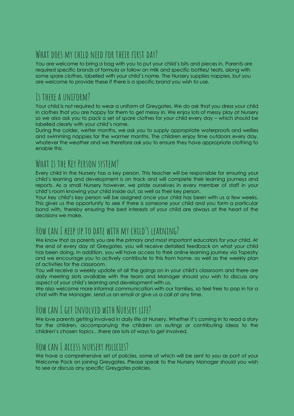# WHAT DOES MY CHILD NEED FOR THEIR FIRST DAY?

You are welcome to bring a bag with you to put your child's bits and pieces in. Parents are required specific brands of formula or follow on milk and specific bottles/ teats, along with some spare clothes, labelled with your child's name. The Nursery supplies nappies, but you are welcome to provide these if there is a specific brand you wish to use.

## Is there a uniform?

Your child is not required to wear a uniform at Greygates. We do ask that you dress your child in clothes that you are happy for them to get messy in. We enjoy lots of messy play at Nursery so we also ask you to pack a set of spare clothes for your child every day – which should be labelled clearly with your child's name.

During the colder, wetter months, we ask you to supply appropriate waterproofs and wellies and swimming nappies for the warmer months. The children enjoy time outdoors every day, whatever the weather and we therefore ask you to ensure they have appropriate clothing to enable this.

## WHAT IS THE KEY PERSON SYSTEM?

Every child in the Nursery has a key person. This teacher will be responsible for ensuring your child's learning and development is on track and will complete their learning journeys and reports. As a small Nursery however, we pride ourselves in every member of staff in your child's room knowing your child inside out, as well as their key person.

Your key child's key person will be assigned once your child has been with us a few weeks. This gives us the opportunity to see if there is someone your child and you form a particular bond with, thereby ensuring the best interests of your child are always at the heart of the decisions we make.

## How can I keep up to date with my child's learning?

We know that as parents you are the primary and most important educators for your child. At the end of every day at Greygates, you will receive detailed feedback on what your child has been doing. In addition, you will have access to their online learning journey via Tapestry and we encourage you to actively contribute to this from home, as well as the weekly plan of activities for the classroom.

You will receive a weekly update of all the goings on in your child's classroom and there are daily meeting slots available with the team and Manager should you wish to discuss any aspect of your child's learning and development with us.

We also welcome more informal communication with our families, so feel free to pop in for a chat with the Manager, send us an email or give us a call at any time.

# How can I get involved with Nursery life?

We love parents getting involved in daily life at Nursery. Whether it's coming in to read a story for the children, accompanying the children on outings or contributing ideas to the children's chosen topics…there are lots of ways to get involved.

## How can I access nursery policies?

We have a comprehensive set of policies, some of which will be sent to you as part of your Welcome Pack on joining Greygates. Please speak to the Nursery Manager should you wish to see or discuss any specific Greygates policies.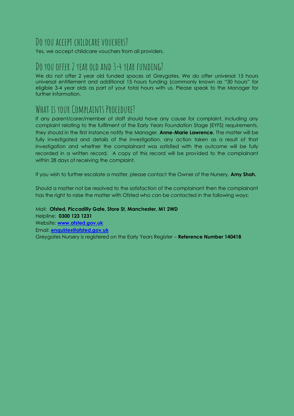## DO YOU ACCEPT CHILDCARE VOUCHERS?

Yes, we accept childcare vouchers from all providers.

## Do you offer 2 year old and 3-4 year funding?

We do not offer 2 year old funded spaces at Greygates. We do offer universal 15 hours universal entitlement and additional 15 hours funding (commonly known as "30 hours" for eligible 3-4 year olds as part of your total hours with us. Please speak to the Manager for further information.

## WHAT IS YOUR COMPLAINTS PROCEDURE?

If any parent/carer/member of staff should have any cause for complaint, including any complaint relating to the fulfilment of the Early Years Foundation Stage (EYFS) requirements, they should in the first instance notify the Manager, **Anne-Marie Lawrence.** The matter will be fully investigated and details of the investigation, any action taken as a result of that investigation and whether the complainant was satisfied with the outcome will be fully recorded in a written record. A copy of this record will be provided to the complainant within 28 days of receiving the complaint.

If you wish to further escalate a matter, please contact the Owner of the Nursery, **Amy Shah.**

Should a matter not be resolved to the satisfaction of the complainant then the complainant has the right to raise the matter with Ofsted who can be contacted in the following ways:

Mail: **Ofsted, Piccadilly Gate, Store St, Manchester, M1 2WD** Helpline: **0300 123 1231** Website: **[www.ofsted.gov.uk](http://www.ofsted.gov.uk/)** Email: **[enquiries@ofsted.gov.uk](mailto:enquiries@ofsted.gov.uk)** Greygates Nursery is registered on the Early Years Register – **Reference Number 140418**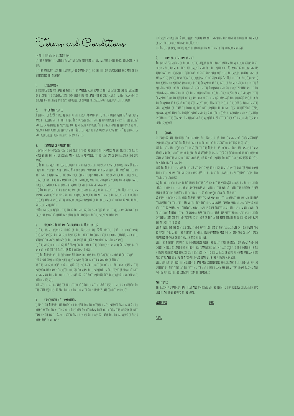Terms and Conditions

#### In these Terms and Conditions:

i)"the Nursery" is greygates Day Nursery situated at 182 muswell hill road, london, n10 3ng.

II)"THE PARENTS" ARE THE PARENT(S) OR GUARDIAN(S) OR THE PERSON RESPONSIBLE FOR ANY CHILD attending the Nursery

#### **1. Registration**

A registration fee shall be paid by the parent/ guardian to the Nursery on the submission of a completed registration form and that fee shall not be returnable if a place cannot be offered on the date and days required, or should the space not subsequently be taken

#### **2. Offer Acceptance**

A deposit of £250 shall be paid by the parent/guardian to the nursery within 5 working DAYS OF ACCEPTANCE OF THE OFFER. THIS DEPOSIT SHALL NOT BE RETURNABLE UNLESS & FULL WEEKS' notice in writing is provided to the Nursery Manager. The deposit shall be returned to the parent/ guardian on leaving the Nursery, minus any outstanding costs. The deposit is not deductible from the first month's fees

#### **3. Payment of Nursery Fees**

i) Payment of nursery fees to the nursery for the child's attendance at the nursery shall be made by the parent/guardian monthly, in advance, by the first day of each month (the due date).

II) IF THE PAYMENT OF FEES REFERRED TO IN ABOVE SHALL BE OUTSTANDING FOR MORE THAN 14 DAYS then the nursery will charge £50 for late payment and may serve 14 days' notice in WRITING TO TERMINATE THIS CONTRACT. UPON TERMINATION OF THIS CONTRACT THE CHILD SHALL cease forthwith to be admitted to the nursery, and the nursery's notice to so terminate shall be regarded as a formal demand for all outstanding monies

iii) In the event of the fees or any other sum payable by the parents to the Nursery being unpaid and outstanding the child may, on notice in writing to the parents, be required to cease attendance at the Nursery unless payment of the full amount owing is paid to the Nursery immediately

iv)The nursery reserves the right to increase the said fees at any time upon giving two calendar month's written notice of the increase to the parent/guardian

#### **4. Opening Hours and Calculation of Nursery Fees**

i) The usual opening hours of the Nursery are 08:10 until 18:00. In exceptional circumstances, the Nursery reserves the right to open later or close earlier, and will attempt to advise parents of these changes at least 5 working days in advance

ii) The Nursery will close at 5.30pm on the day of the children's annual Christmas party and at 15:00 ON THE DAY PRIOR TO Christmas CLOSURE

iii) The Nursery will be closed on UK Bank Holidays and for 5 working days at Christmas iv) A part time Nursery place must always be taken with a Monday or Friday

v) The nursery does not permit the pro-rata reduction of fees for any reason. The parent/guardian is therefore obliged to make full payment. In the event of payment not being made then the nursery reserves its right to terminate this agreement in accordance with clause 3(ii)

vi) late fees are payable for collection of children after 18:00. These fees are paid directly to the staff required to stay behind, in line with the nursery's late collection policy.

#### **5. Cancellation/ Termination**

i) Once the Nursery has received a deposit for the offered place, parents shall give 8 full weeks' notice in writing when they wish to withdraw their child from the Nursery or not take up the place. Cancellation shall render the parents liable to full payment of the 8 weeks fees in all cases.

ii) Parents shall give 8 full weeks' notice in writing when they wish to reduce the number of days their child attends the Nursery

iii) In either case, notice must be provided in writing to the Nursery Manager.

#### **6. Non-solicitation of staff**

The parent/guardian of the child, the subject of this registration form, hereby agrees that during the term of this agreement and for the period of 12 months following its termination (howsoever terminated) that they will not seek to employ, entice away or attempt to entice away from the employment of greygates Day Nursery Ltd ('the Company') any person or persons employed by the Company at the date of termination or in the 6 months prior, of the agreement between the Company and the parent/guardian. If the parent/guardian shall breach the aforementioned clause then he/she shall indemnify the Company fully in respect of all and any costs, claims, damages and expenses incurred by the Company as a result of the aforementioned breach to include the cost of replacing the said member of staff to include, but not limited to agency fees, advertising costs, management time in interviewing and all such other costs reasonably and necessarily incurred by the Company in replacing the member of staff together with all legal fees and disbursements.

#### **7. General**

i) Parents are required to inform the Nursery of any changes of circumstances immediately so that the Nursery can keep the child's registration details up to date

II) Parents are required to disclose to the Nursery as soon as they are aware of any abnormality, infection or allergy that affects or may affect the child or other children or staff within the Nursery. This includes, but is not limited to, notifiable diseaeses as listed **BY PUBLIC HEALTH ENGLAND.** 

III) The Nursery reserves the right at any time to refuse admission to and/or send home any child whom the Nursery considers is or may be unwell or suffering from any contagious illness

IV) The child will only be returned to the custody of the person(s) named on the personal details form unless prior arrangements are made by the parents with the Nursery. Please read our Child Collection policy emailed to you on joining the Nursery

V) When providing you with Nursery services, we may collect information on individuals connected to your child from you. This includes nannies, family members or friends who you list as emergency contacts. Please ensure these individuals have been made aware of our Privacy Notice. If you, or anyone else on your behalf, has provided or provides personal information on an individual to us, you or they must first ensure that you or they have the authority to do so

VI) We will use the contact details you have provided us to regularly get in touch with you to update you about the nursery, general developments and to inform you of any topics relating to your child's health and wellbeing.

VII) The Nursery operates in compliance with The Early Years Foundation Stage and the children will be cared for within this framework. Parents are required to comply with all Nursery policies and procedures. These are sent to you as part of your welcome pack and are also available to view at a pre-arranged time with the Nursery Manager..

VIII) Parents are not permitted to share any identifying photographs or recordings of the setting or any child at the setting for any purpose and are permitted from taking any photos without prior consent from the Manager

#### **Acceptance**

The Parent/ Guardian have read and understand the Terms & Conditions contained and undertake to be bound by the same.

**Signature Date**

**NAME**